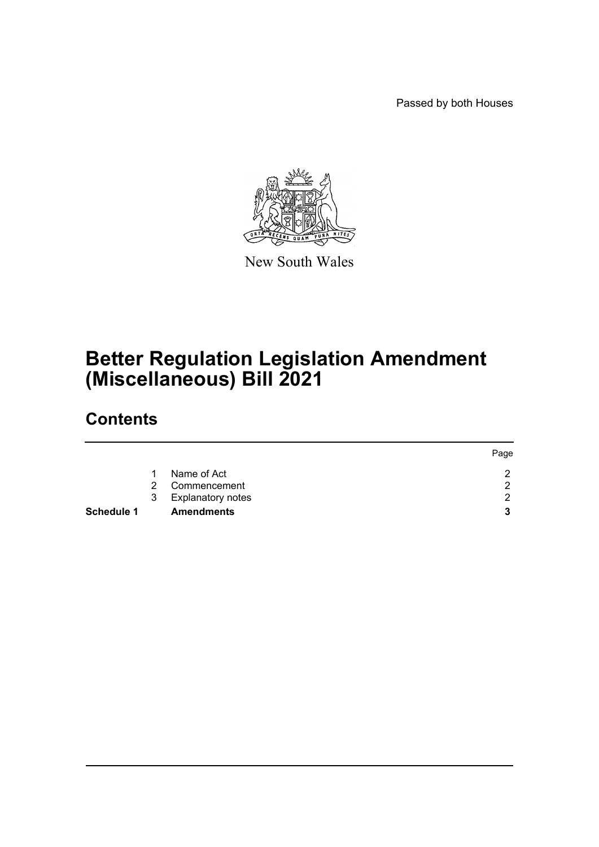Passed by both Houses



New South Wales

# **Better Regulation Legislation Amendment (Miscellaneous) Bill 2021**

# **Contents**

|                   |   |                          | Page |
|-------------------|---|--------------------------|------|
|                   |   | Name of Act              | റ    |
|                   | 2 | Commencement             | ◠    |
|                   | 3 | <b>Explanatory notes</b> | ⌒    |
| <b>Schedule 1</b> |   | <b>Amendments</b>        | 3    |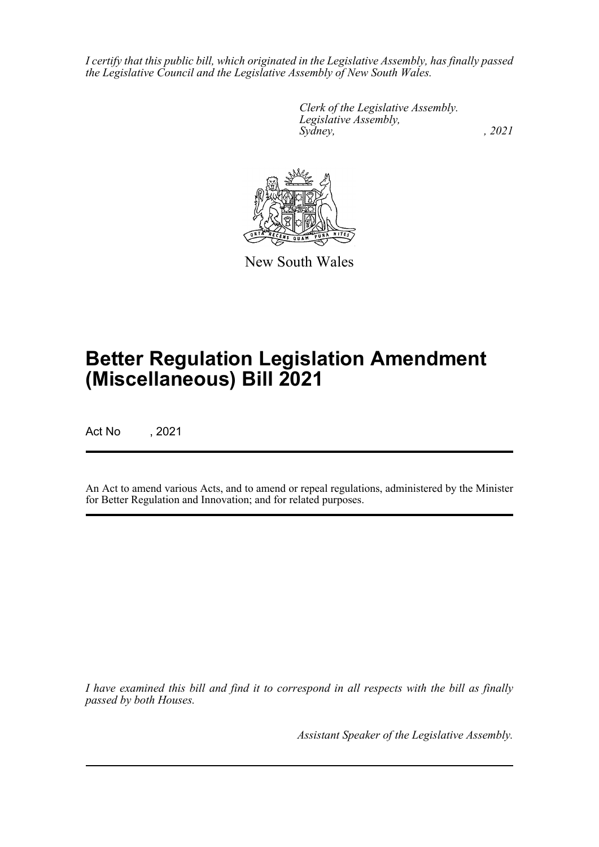*I certify that this public bill, which originated in the Legislative Assembly, has finally passed the Legislative Council and the Legislative Assembly of New South Wales.*

> *Clerk of the Legislative Assembly. Legislative Assembly, Sydney, , 2021*



New South Wales

# **Better Regulation Legislation Amendment (Miscellaneous) Bill 2021**

Act No , 2021

An Act to amend various Acts, and to amend or repeal regulations, administered by the Minister for Better Regulation and Innovation; and for related purposes.

*I have examined this bill and find it to correspond in all respects with the bill as finally passed by both Houses.*

*Assistant Speaker of the Legislative Assembly.*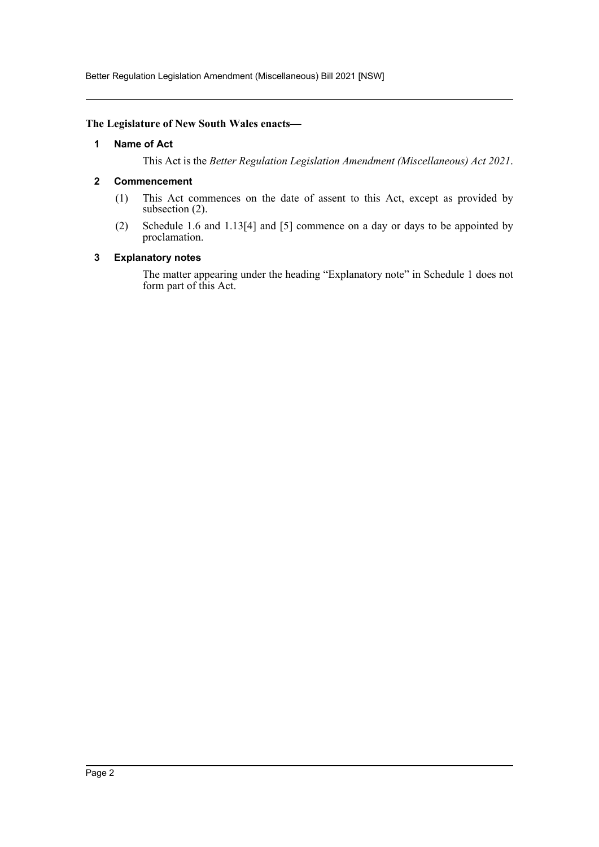Better Regulation Legislation Amendment (Miscellaneous) Bill 2021 [NSW]

### <span id="page-2-0"></span>**The Legislature of New South Wales enacts—**

## **1 Name of Act**

This Act is the *Better Regulation Legislation Amendment (Miscellaneous) Act 2021*.

## <span id="page-2-1"></span>**2 Commencement**

- (1) This Act commences on the date of assent to this Act, except as provided by subsection (2).
- (2) Schedule 1.6 and 1.13[4] and [5] commence on a day or days to be appointed by proclamation.

#### <span id="page-2-2"></span>**3 Explanatory notes**

The matter appearing under the heading "Explanatory note" in Schedule 1 does not form part of this Act.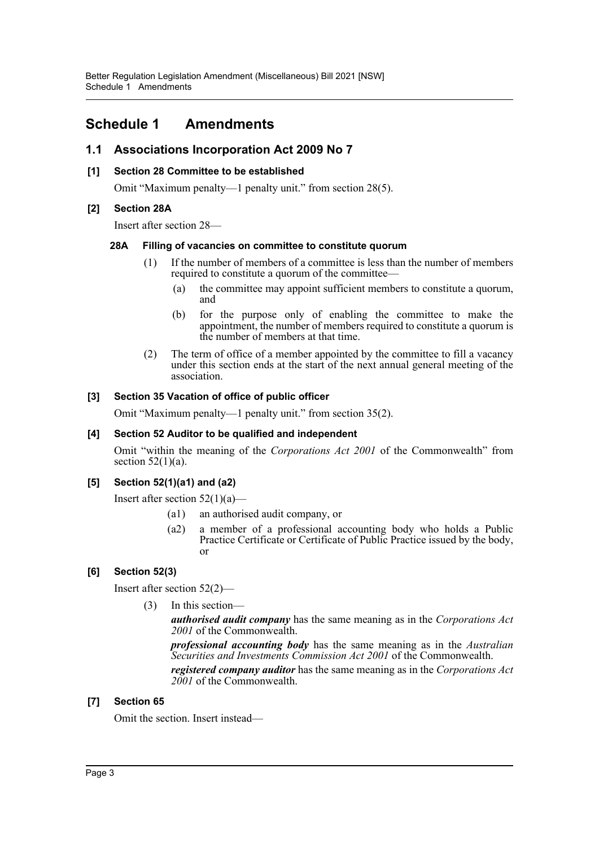# <span id="page-3-0"></span>**Schedule 1 Amendments**

# **1.1 Associations Incorporation Act 2009 No 7**

# **[1] Section 28 Committee to be established**

Omit "Maximum penalty—1 penalty unit." from section 28(5).

# **[2] Section 28A**

Insert after section 28—

# **28A Filling of vacancies on committee to constitute quorum**

- (1) If the number of members of a committee is less than the number of members required to constitute a quorum of the committee—
	- (a) the committee may appoint sufficient members to constitute a quorum, and
	- (b) for the purpose only of enabling the committee to make the appointment, the number of members required to constitute a quorum is the number of members at that time.
- (2) The term of office of a member appointed by the committee to fill a vacancy under this section ends at the start of the next annual general meeting of the association.

# **[3] Section 35 Vacation of office of public officer**

Omit "Maximum penalty—1 penalty unit." from section 35(2).

# **[4] Section 52 Auditor to be qualified and independent**

Omit "within the meaning of the *Corporations Act 2001* of the Commonwealth" from section  $52(1)(a)$ .

# **[5] Section 52(1)(a1) and (a2)**

Insert after section  $52(1)(a)$ —

- (a1) an authorised audit company, or
- (a2) a member of a professional accounting body who holds a Public Practice Certificate or Certificate of Public Practice issued by the body, or

# **[6] Section 52(3)**

Insert after section 52(2)—

(3) In this section—

*authorised audit company* has the same meaning as in the *Corporations Act 2001* of the Commonwealth.

*professional accounting body* has the same meaning as in the *Australian Securities and Investments Commission Act 2001* of the Commonwealth.

*registered company auditor* has the same meaning as in the *Corporations Act 2001* of the Commonwealth.

# **[7] Section 65**

Omit the section. Insert instead—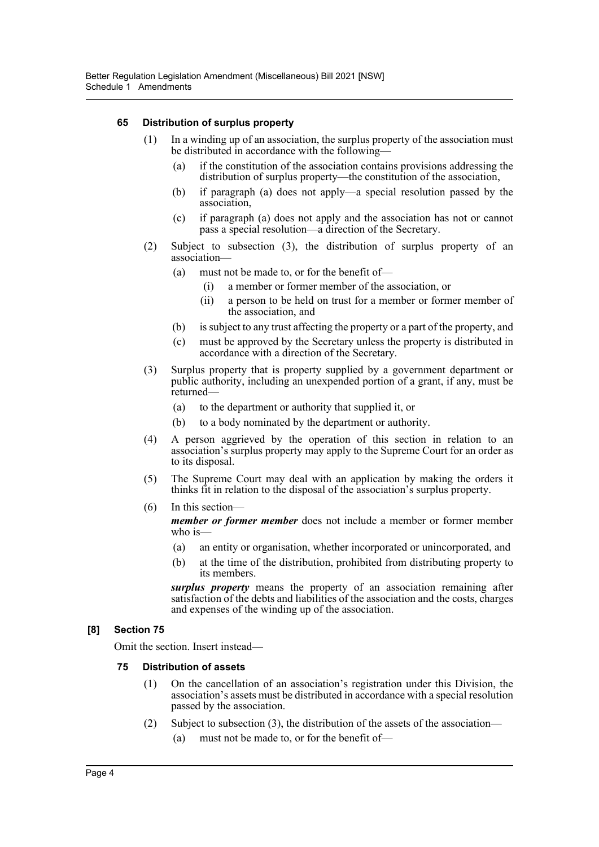# **65 Distribution of surplus property**

- (1) In a winding up of an association, the surplus property of the association must be distributed in accordance with the following—
	- (a) if the constitution of the association contains provisions addressing the distribution of surplus property—the constitution of the association,
	- (b) if paragraph (a) does not apply—a special resolution passed by the association,
	- (c) if paragraph (a) does not apply and the association has not or cannot pass a special resolution—a direction of the Secretary.
- (2) Subject to subsection (3), the distribution of surplus property of an association—
	- (a) must not be made to, or for the benefit of—
		- (i) a member or former member of the association, or
		- (ii) a person to be held on trust for a member or former member of the association, and
	- (b) is subject to any trust affecting the property or a part of the property, and
	- (c) must be approved by the Secretary unless the property is distributed in accordance with a direction of the Secretary.
- (3) Surplus property that is property supplied by a government department or public authority, including an unexpended portion of a grant, if any, must be returned—
	- (a) to the department or authority that supplied it, or
	- (b) to a body nominated by the department or authority.
- (4) A person aggrieved by the operation of this section in relation to an association's surplus property may apply to the Supreme Court for an order as to its disposal.
- (5) The Supreme Court may deal with an application by making the orders it thinks fit in relation to the disposal of the association's surplus property.
- (6) In this section—

*member or former member* does not include a member or former member who is—

- (a) an entity or organisation, whether incorporated or unincorporated, and
- (b) at the time of the distribution, prohibited from distributing property to its members.

*surplus property* means the property of an association remaining after satisfaction of the debts and liabilities of the association and the costs, charges and expenses of the winding up of the association.

# **[8] Section 75**

Omit the section. Insert instead—

# **75 Distribution of assets**

- (1) On the cancellation of an association's registration under this Division, the association's assets must be distributed in accordance with a special resolution passed by the association.
- (2) Subject to subsection (3), the distribution of the assets of the association—
	- (a) must not be made to, or for the benefit of—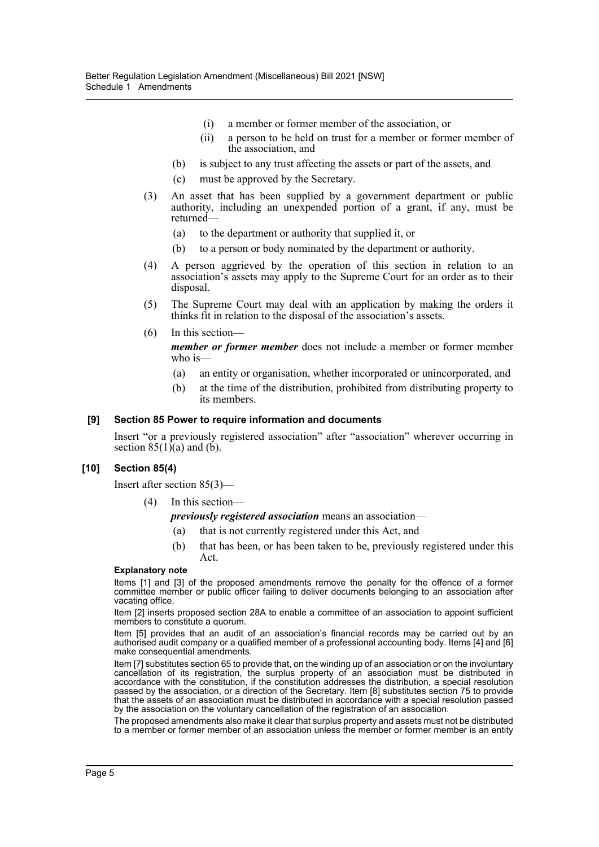- (i) a member or former member of the association, or
- (ii) a person to be held on trust for a member or former member of the association, and
- (b) is subject to any trust affecting the assets or part of the assets, and
- (c) must be approved by the Secretary.
- (3) An asset that has been supplied by a government department or public authority, including an unexpended portion of a grant, if any, must be returned—
	- (a) to the department or authority that supplied it, or
	- (b) to a person or body nominated by the department or authority.
- (4) A person aggrieved by the operation of this section in relation to an association's assets may apply to the Supreme Court for an order as to their disposal.
- (5) The Supreme Court may deal with an application by making the orders it thinks fit in relation to the disposal of the association's assets.
- (6) In this section—

*member or former member* does not include a member or former member who is—

- (a) an entity or organisation, whether incorporated or unincorporated, and
- (b) at the time of the distribution, prohibited from distributing property to its members.

## **[9] Section 85 Power to require information and documents**

Insert "or a previously registered association" after "association" wherever occurring in section  $85(1)(a)$  and  $(b)$ .

# **[10] Section 85(4)**

Insert after section 85(3)—

(4) In this section—

*previously registered association* means an association—

- (a) that is not currently registered under this Act, and
- (b) that has been, or has been taken to be, previously registered under this Act.

#### **Explanatory note**

Items [1] and [3] of the proposed amendments remove the penalty for the offence of a former committee member or public officer failing to deliver documents belonging to an association after vacating office.

Item [2] inserts proposed section 28A to enable a committee of an association to appoint sufficient members to constitute a quorum.

Item [5] provides that an audit of an association's financial records may be carried out by an authorised audit company or a qualified member of a professional accounting body. Items [4] and [6] make consequential amendments.

Item [7] substitutes section 65 to provide that, on the winding up of an association or on the involuntary cancellation of its registration, the surplus property of an association must be distributed in accordance with the constitution, if the constitution addresses the distribution, a special resolution passed by the association, or a direction of the Secretary. Item [8] substitutes section 75 to provide that the assets of an association must be distributed in accordance with a special resolution passed by the association on the voluntary cancellation of the registration of an association.

The proposed amendments also make it clear that surplus property and assets must not be distributed to a member or former member of an association unless the member or former member is an entity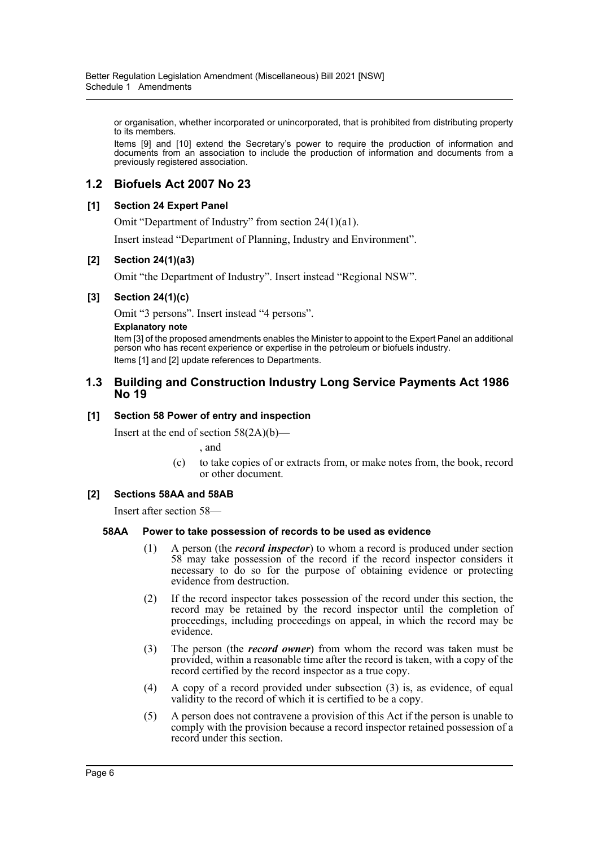or organisation, whether incorporated or unincorporated, that is prohibited from distributing property to its members.

Items [9] and [10] extend the Secretary's power to require the production of information and documents from an association to include the production of information and documents from a previously registered association.

# **1.2 Biofuels Act 2007 No 23**

# **[1] Section 24 Expert Panel**

Omit "Department of Industry" from section 24(1)(a1).

Insert instead "Department of Planning, Industry and Environment".

# **[2] Section 24(1)(a3)**

Omit "the Department of Industry". Insert instead "Regional NSW".

# **[3] Section 24(1)(c)**

Omit "3 persons". Insert instead "4 persons".

#### **Explanatory note**

Item [3] of the proposed amendments enables the Minister to appoint to the Expert Panel an additional person who has recent experience or expertise in the petroleum or biofuels industry. Items [1] and [2] update references to Departments.

# **1.3 Building and Construction Industry Long Service Payments Act 1986 No 19**

# **[1] Section 58 Power of entry and inspection**

Insert at the end of section  $58(2A)(b)$ —

, and

(c) to take copies of or extracts from, or make notes from, the book, record or other document.

# **[2] Sections 58AA and 58AB**

Insert after section 58—

# **58AA Power to take possession of records to be used as evidence**

- (1) A person (the *record inspector*) to whom a record is produced under section 58 may take possession of the record if the record inspector considers it necessary to do so for the purpose of obtaining evidence or protecting evidence from destruction.
- (2) If the record inspector takes possession of the record under this section, the record may be retained by the record inspector until the completion of proceedings, including proceedings on appeal, in which the record may be evidence.
- (3) The person (the *record owner*) from whom the record was taken must be provided, within a reasonable time after the record is taken, with a copy of the record certified by the record inspector as a true copy.
- (4) A copy of a record provided under subsection (3) is, as evidence, of equal validity to the record of which it is certified to be a copy.
- (5) A person does not contravene a provision of this Act if the person is unable to comply with the provision because a record inspector retained possession of a record under this section.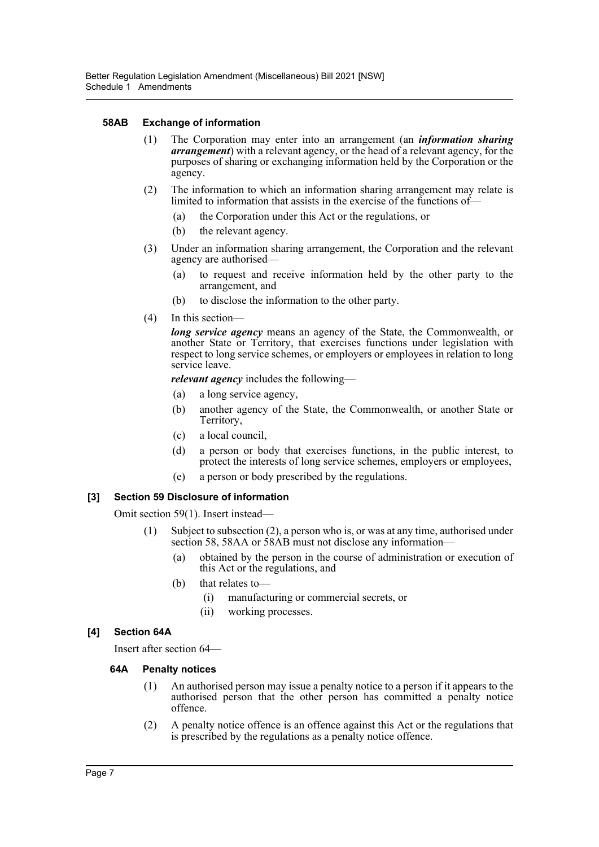# **58AB Exchange of information**

- (1) The Corporation may enter into an arrangement (an *information sharing arrangement*) with a relevant agency, or the head of a relevant agency, for the purposes of sharing or exchanging information held by the Corporation or the agency.
- (2) The information to which an information sharing arrangement may relate is limited to information that assists in the exercise of the functions of—
	- (a) the Corporation under this Act or the regulations, or
	- (b) the relevant agency.
- (3) Under an information sharing arrangement, the Corporation and the relevant agency are authorised—
	- (a) to request and receive information held by the other party to the arrangement, and
	- (b) to disclose the information to the other party.
- (4) In this section—

*long service agency* means an agency of the State, the Commonwealth, or another State or Territory, that exercises functions under legislation with respect to long service schemes, or employers or employees in relation to long service leave.

*relevant agency* includes the following—

- (a) a long service agency,
- (b) another agency of the State, the Commonwealth, or another State or Territory,
- (c) a local council,
- (d) a person or body that exercises functions, in the public interest, to protect the interests of long service schemes, employers or employees,
- (e) a person or body prescribed by the regulations.

# **[3] Section 59 Disclosure of information**

Omit section 59(1). Insert instead—

- (1) Subject to subsection (2), a person who is, or was at any time, authorised under section 58, 58AA or 58AB must not disclose any information—
	- (a) obtained by the person in the course of administration or execution of this Act or the regulations, and
	- (b) that relates to—
		- (i) manufacturing or commercial secrets, or
		- (ii) working processes.

# **[4] Section 64A**

Insert after section 64—

# **64A Penalty notices**

- (1) An authorised person may issue a penalty notice to a person if it appears to the authorised person that the other person has committed a penalty notice offence.
- (2) A penalty notice offence is an offence against this Act or the regulations that is prescribed by the regulations as a penalty notice offence.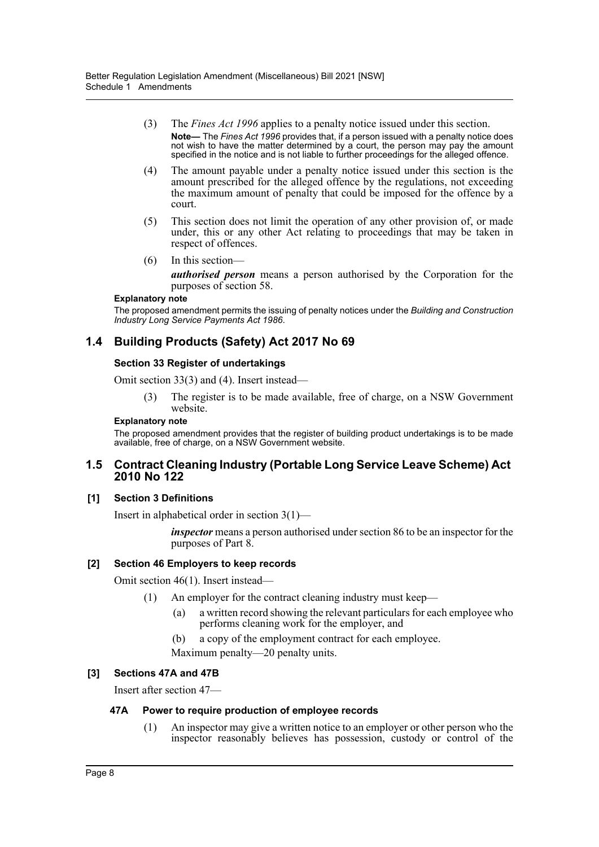- (3) The *Fines Act 1996* applies to a penalty notice issued under this section. **Note—** The *Fines Act 1996* provides that, if a person issued with a penalty notice does not wish to have the matter determined by a court, the person may pay the amount specified in the notice and is not liable to further proceedings for the alleged offence.
- (4) The amount payable under a penalty notice issued under this section is the amount prescribed for the alleged offence by the regulations, not exceeding the maximum amount of penalty that could be imposed for the offence by a court.
- (5) This section does not limit the operation of any other provision of, or made under, this or any other Act relating to proceedings that may be taken in respect of offences.
- (6) In this section—

*authorised person* means a person authorised by the Corporation for the purposes of section 58.

#### **Explanatory note**

The proposed amendment permits the issuing of penalty notices under the *Building and Construction Industry Long Service Payments Act 1986*.

# **1.4 Building Products (Safety) Act 2017 No 69**

# **Section 33 Register of undertakings**

Omit section 33(3) and (4). Insert instead—

(3) The register is to be made available, free of charge, on a NSW Government website.

#### **Explanatory note**

The proposed amendment provides that the register of building product undertakings is to be made available, free of charge, on a NSW Government website.

# **1.5 Contract Cleaning Industry (Portable Long Service Leave Scheme) Act 2010 No 122**

# **[1] Section 3 Definitions**

Insert in alphabetical order in section 3(1)—

*inspector* means a person authorised under section 86 to be an inspector for the purposes of Part 8.

# **[2] Section 46 Employers to keep records**

Omit section 46(1). Insert instead—

- (1) An employer for the contract cleaning industry must keep—
	- (a) a written record showing the relevant particulars for each employee who performs cleaning work for the employer, and
	- (b) a copy of the employment contract for each employee.
	- Maximum penalty—20 penalty units.

# **[3] Sections 47A and 47B**

Insert after section 47—

# **47A Power to require production of employee records**

(1) An inspector may give a written notice to an employer or other person who the inspector reasonably believes has possession, custody or control of the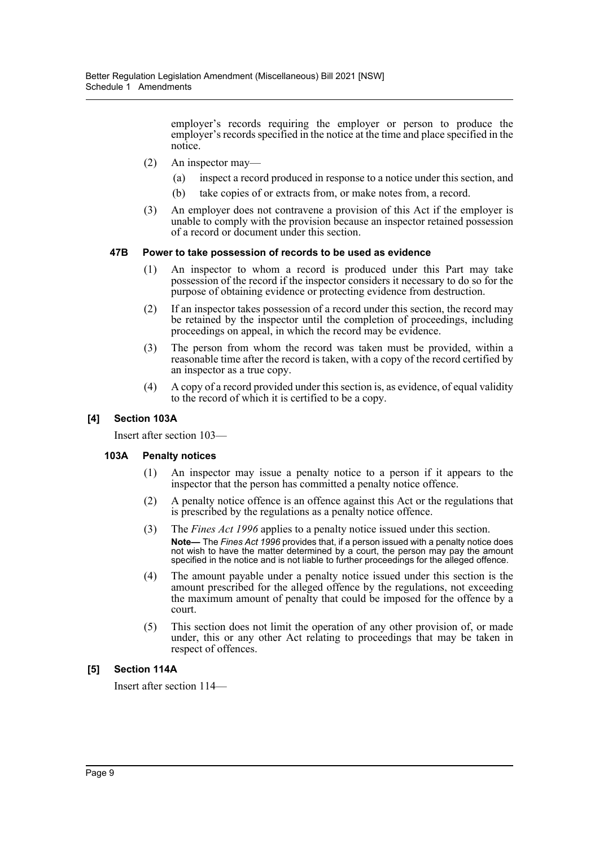employer's records requiring the employer or person to produce the employer's records specified in the notice at the time and place specified in the notice.

- (2) An inspector may—
	- (a) inspect a record produced in response to a notice under this section, and
	- (b) take copies of or extracts from, or make notes from, a record.
- (3) An employer does not contravene a provision of this Act if the employer is unable to comply with the provision because an inspector retained possession of a record or document under this section.

#### **47B Power to take possession of records to be used as evidence**

- (1) An inspector to whom a record is produced under this Part may take possession of the record if the inspector considers it necessary to do so for the purpose of obtaining evidence or protecting evidence from destruction.
- (2) If an inspector takes possession of a record under this section, the record may be retained by the inspector until the completion of proceedings, including proceedings on appeal, in which the record may be evidence.
- (3) The person from whom the record was taken must be provided, within a reasonable time after the record is taken, with a copy of the record certified by an inspector as a true copy.
- (4) A copy of a record provided under this section is, as evidence, of equal validity to the record of which it is certified to be a copy.

## **[4] Section 103A**

Insert after section 103—

# **103A Penalty notices**

- (1) An inspector may issue a penalty notice to a person if it appears to the inspector that the person has committed a penalty notice offence.
- (2) A penalty notice offence is an offence against this Act or the regulations that is prescribed by the regulations as a penalty notice offence.
- (3) The *Fines Act 1996* applies to a penalty notice issued under this section. **Note—** The *Fines Act 1996* provides that, if a person issued with a penalty notice does not wish to have the matter determined by a court, the person may pay the amount specified in the notice and is not liable to further proceedings for the alleged offence.
- (4) The amount payable under a penalty notice issued under this section is the amount prescribed for the alleged offence by the regulations, not exceeding the maximum amount of penalty that could be imposed for the offence by a court.
- (5) This section does not limit the operation of any other provision of, or made under, this or any other Act relating to proceedings that may be taken in respect of offences.

# **[5] Section 114A**

Insert after section 114—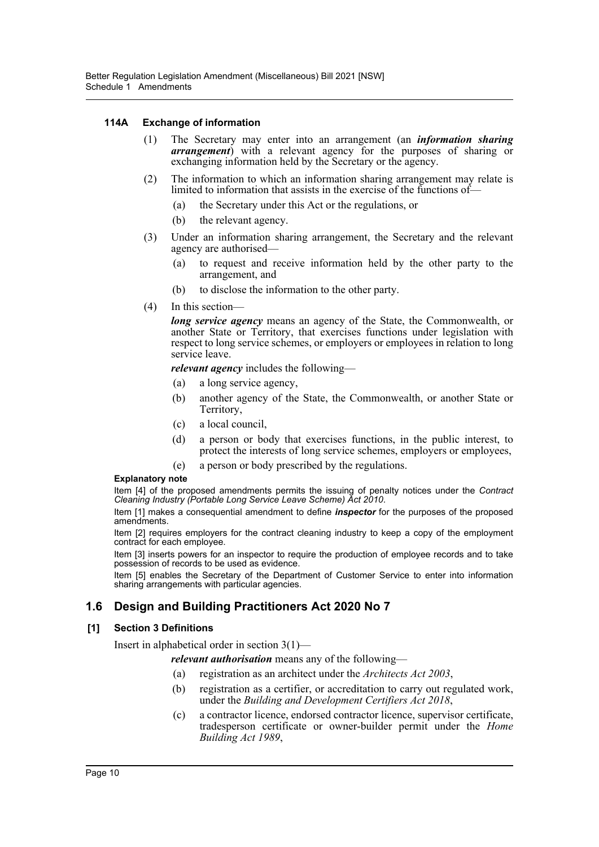# **114A Exchange of information**

- (1) The Secretary may enter into an arrangement (an *information sharing arrangement*) with a relevant agency for the purposes of sharing or exchanging information held by the Secretary or the agency.
- (2) The information to which an information sharing arrangement may relate is limited to information that assists in the exercise of the functions of—
	- (a) the Secretary under this Act or the regulations, or
	- (b) the relevant agency.
- (3) Under an information sharing arrangement, the Secretary and the relevant agency are authorised—
	- (a) to request and receive information held by the other party to the arrangement, and
	- (b) to disclose the information to the other party.
- (4) In this section—

*long service agency* means an agency of the State, the Commonwealth, or another State or Territory, that exercises functions under legislation with respect to long service schemes, or employers or employees in relation to long service leave.

*relevant agency* includes the following—

- (a) a long service agency,
- (b) another agency of the State, the Commonwealth, or another State or Territory,
- (c) a local council,
- (d) a person or body that exercises functions, in the public interest, to protect the interests of long service schemes, employers or employees,
- (e) a person or body prescribed by the regulations.

# **Explanatory note**

Item [4] of the proposed amendments permits the issuing of penalty notices under the *Contract Cleaning Industry (Portable Long Service Leave Scheme) Act 2010*.

Item [1] makes a consequential amendment to define *inspector* for the purposes of the proposed amendments.

Item [2] requires employers for the contract cleaning industry to keep a copy of the employment contract for each employee.

Item [3] inserts powers for an inspector to require the production of employee records and to take possession of records to be used as evidence.

Item [5] enables the Secretary of the Department of Customer Service to enter into information sharing arrangements with particular agencies.

# **1.6 Design and Building Practitioners Act 2020 No 7**

# **[1] Section 3 Definitions**

Insert in alphabetical order in section 3(1)—

*relevant authorisation* means any of the following—

- (a) registration as an architect under the *Architects Act 2003*,
- (b) registration as a certifier, or accreditation to carry out regulated work, under the *Building and Development Certifiers Act 2018*,
- (c) a contractor licence, endorsed contractor licence, supervisor certificate, tradesperson certificate or owner-builder permit under the *Home Building Act 1989*,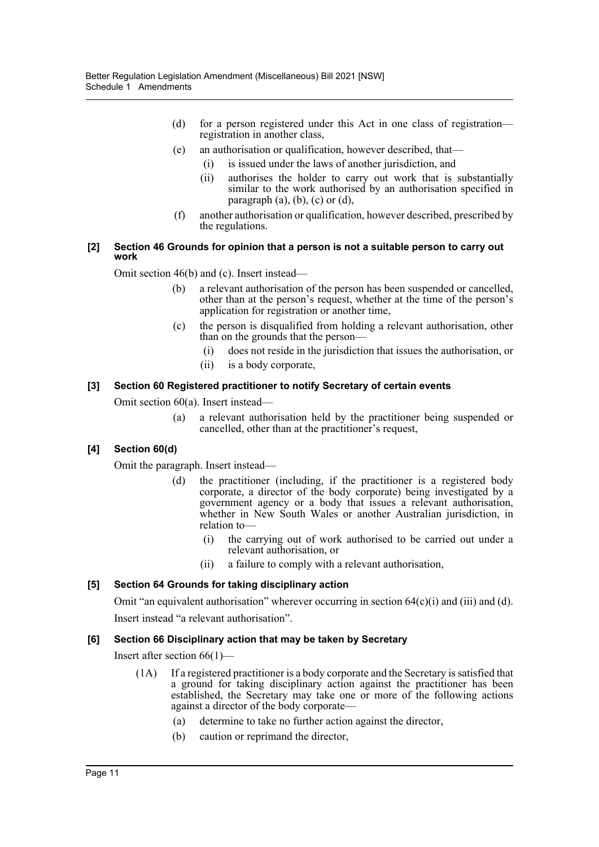- (d) for a person registered under this Act in one class of registration registration in another class,
- (e) an authorisation or qualification, however described, that—
	- (i) is issued under the laws of another jurisdiction, and
	- (ii) authorises the holder to carry out work that is substantially similar to the work authorised by an authorisation specified in paragraph  $(a)$ ,  $(b)$ ,  $(c)$  or  $(d)$ ,
- (f) another authorisation or qualification, however described, prescribed by the regulations.

#### **[2] Section 46 Grounds for opinion that a person is not a suitable person to carry out work**

Omit section 46(b) and (c). Insert instead—

- (b) a relevant authorisation of the person has been suspended or cancelled, other than at the person's request, whether at the time of the person's application for registration or another time,
- (c) the person is disqualified from holding a relevant authorisation, other than on the grounds that the person—
	- (i) does not reside in the jurisdiction that issues the authorisation, or
	- (ii) is a body corporate,

# **[3] Section 60 Registered practitioner to notify Secretary of certain events**

Omit section 60(a). Insert instead—

(a) a relevant authorisation held by the practitioner being suspended or cancelled, other than at the practitioner's request,

# **[4] Section 60(d)**

Omit the paragraph. Insert instead—

- (d) the practitioner (including, if the practitioner is a registered body corporate, a director of the body corporate) being investigated by a government agency or a body that issues a relevant authorisation, whether in New South Wales or another Australian jurisdiction, in relation to—
	- (i) the carrying out of work authorised to be carried out under a relevant authorisation, or
	- (ii) a failure to comply with a relevant authorisation,

# **[5] Section 64 Grounds for taking disciplinary action**

Omit "an equivalent authorisation" wherever occurring in section  $64(c)(i)$  and  $(ii)$  and  $(d)$ .

Insert instead "a relevant authorisation".

# **[6] Section 66 Disciplinary action that may be taken by Secretary**

Insert after section 66(1)—

- (1A) If a registered practitioner is a body corporate and the Secretary is satisfied that a ground for taking disciplinary action against the practitioner has been established, the Secretary may take one or more of the following actions against a director of the body corporate—
	- (a) determine to take no further action against the director,
	- (b) caution or reprimand the director,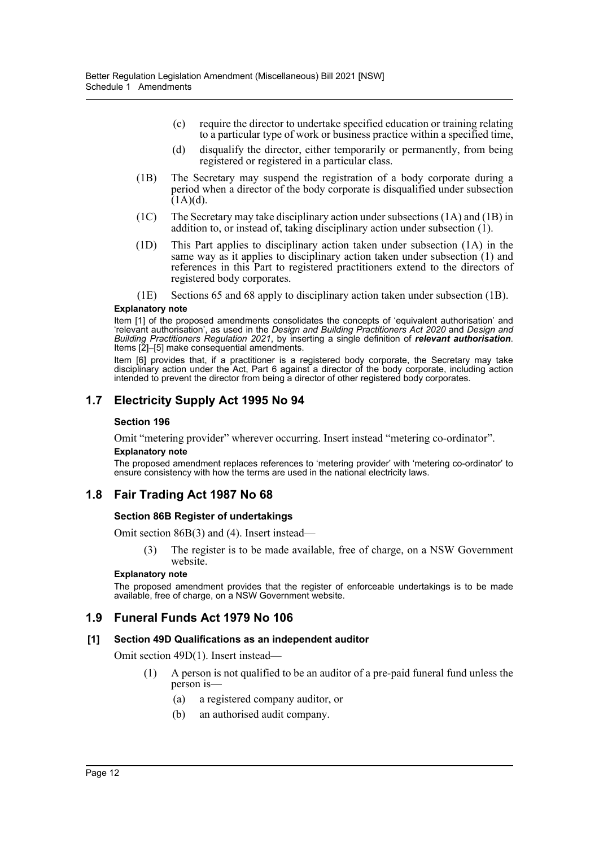- (c) require the director to undertake specified education or training relating to a particular type of work or business practice within a specified time,
- (d) disqualify the director, either temporarily or permanently, from being registered or registered in a particular class.
- (1B) The Secretary may suspend the registration of a body corporate during a period when a director of the body corporate is disqualified under subsection  $(1A)(d)$ .
- (1C) The Secretary may take disciplinary action under subsections (1A) and (1B) in addition to, or instead of, taking disciplinary action under subsection (1).
- (1D) This Part applies to disciplinary action taken under subsection (1A) in the same way as it applies to disciplinary action taken under subsection (1) and references in this Part to registered practitioners extend to the directors of registered body corporates.
- (1E) Sections 65 and 68 apply to disciplinary action taken under subsection (1B).

#### **Explanatory note**

Item [1] of the proposed amendments consolidates the concepts of 'equivalent authorisation' and 'relevant authorisation', as used in the *Design and Building Practitioners Act 2020* and *Design and Building Practitioners Regulation 2021*, by inserting a single definition of *relevant authorisation*. Items [2]–[5] make consequential amendments.

Item [6] provides that, if a practitioner is a registered body corporate, the Secretary may take disciplinary action under the Act, Part 6 against a director of the body corporate, including action intended to prevent the director from being a director of other registered body corporates.

# **1.7 Electricity Supply Act 1995 No 94**

#### **Section 196**

Omit "metering provider" wherever occurring. Insert instead "metering co-ordinator". **Explanatory note**

The proposed amendment replaces references to 'metering provider' with 'metering co-ordinator' to ensure consistency with how the terms are used in the national electricity laws.

# **1.8 Fair Trading Act 1987 No 68**

#### **Section 86B Register of undertakings**

Omit section 86B(3) and (4). Insert instead—

(3) The register is to be made available, free of charge, on a NSW Government website.

#### **Explanatory note**

The proposed amendment provides that the register of enforceable undertakings is to be made available, free of charge, on a NSW Government website.

# **1.9 Funeral Funds Act 1979 No 106**

#### **[1] Section 49D Qualifications as an independent auditor**

Omit section 49D(1). Insert instead—

- (1) A person is not qualified to be an auditor of a pre-paid funeral fund unless the person is—
	- (a) a registered company auditor, or
	- (b) an authorised audit company.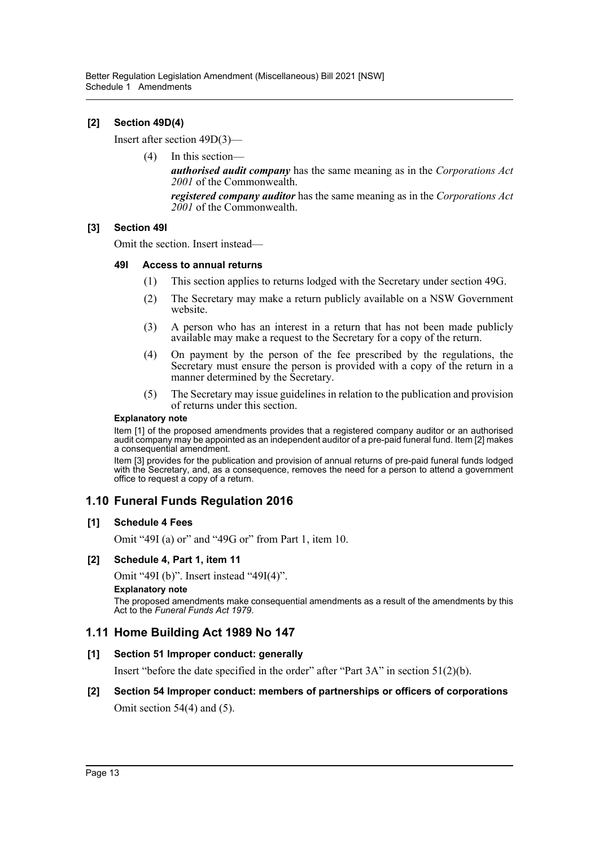# **[2] Section 49D(4)**

Insert after section 49D(3)—

(4) In this section—

*authorised audit company* has the same meaning as in the *Corporations Act 2001* of the Commonwealth.

*registered company auditor* has the same meaning as in the *Corporations Act 2001* of the Commonwealth.

# **[3] Section 49I**

Omit the section. Insert instead—

#### **49I Access to annual returns**

- (1) This section applies to returns lodged with the Secretary under section 49G.
- (2) The Secretary may make a return publicly available on a NSW Government website.
- (3) A person who has an interest in a return that has not been made publicly available may make a request to the Secretary for a copy of the return.
- (4) On payment by the person of the fee prescribed by the regulations, the Secretary must ensure the person is provided with a copy of the return in a manner determined by the Secretary.
- (5) The Secretary may issue guidelines in relation to the publication and provision of returns under this section.

#### **Explanatory note**

Item [1] of the proposed amendments provides that a registered company auditor or an authorised audit company may be appointed as an independent auditor of a pre-paid funeral fund. Item [2] makes a consequential amendment.

Item [3] provides for the publication and provision of annual returns of pre-paid funeral funds lodged with the Secretary, and, as a consequence, removes the need for a person to attend a government office to request a copy of a return.

# **1.10 Funeral Funds Regulation 2016**

# **[1] Schedule 4 Fees**

Omit "49I (a) or" and "49G or" from Part 1, item 10.

# **[2] Schedule 4, Part 1, item 11**

Omit "49I (b)". Insert instead "49I(4)".

#### **Explanatory note**

The proposed amendments make consequential amendments as a result of the amendments by this Act to the *Funeral Funds Act 1979*.

# **1.11 Home Building Act 1989 No 147**

# **[1] Section 51 Improper conduct: generally**

Insert "before the date specified in the order" after "Part 3A" in section 51(2)(b).

# **[2] Section 54 Improper conduct: members of partnerships or officers of corporations** Omit section 54(4) and (5).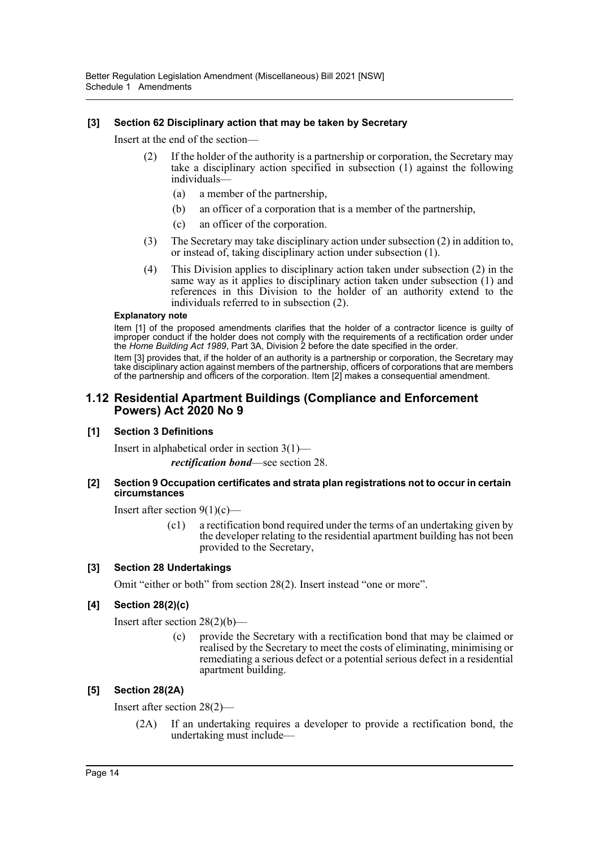# **[3] Section 62 Disciplinary action that may be taken by Secretary**

Insert at the end of the section—

- (2) If the holder of the authority is a partnership or corporation, the Secretary may take a disciplinary action specified in subsection (1) against the following individuals—
	- (a) a member of the partnership,
	- (b) an officer of a corporation that is a member of the partnership,
	- (c) an officer of the corporation.
- (3) The Secretary may take disciplinary action under subsection (2) in addition to, or instead of, taking disciplinary action under subsection (1).
- (4) This Division applies to disciplinary action taken under subsection (2) in the same way as it applies to disciplinary action taken under subsection (1) and references in this Division to the holder of an authority extend to the individuals referred to in subsection (2).

#### **Explanatory note**

Item [1] of the proposed amendments clarifies that the holder of a contractor licence is quilty of improper conduct if the holder does not comply with the requirements of a rectification order under the *Home Building Act 1989*, Part 3A, Division 2 before the date specified in the order.

Item [3] provides that, if the holder of an authority is a partnership or corporation, the Secretary may take disciplinary action against members of the partnership, officers of corporations that are members of the partnership and officers of the corporation. Item [2] makes a consequential amendment.

# **1.12 Residential Apartment Buildings (Compliance and Enforcement Powers) Act 2020 No 9**

# **[1] Section 3 Definitions**

Insert in alphabetical order in section 3(1)—

*rectification bond*—see section 28.

#### **[2] Section 9 Occupation certificates and strata plan registrations not to occur in certain circumstances**

Insert after section  $9(1)(c)$ —

(c1) a rectification bond required under the terms of an undertaking given by the developer relating to the residential apartment building has not been provided to the Secretary,

# **[3] Section 28 Undertakings**

Omit "either or both" from section 28(2). Insert instead "one or more".

# **[4] Section 28(2)(c)**

Insert after section 28(2)(b)—

provide the Secretary with a rectification bond that may be claimed or realised by the Secretary to meet the costs of eliminating, minimising or remediating a serious defect or a potential serious defect in a residential apartment building.

# **[5] Section 28(2A)**

Insert after section 28(2)—

(2A) If an undertaking requires a developer to provide a rectification bond, the undertaking must include—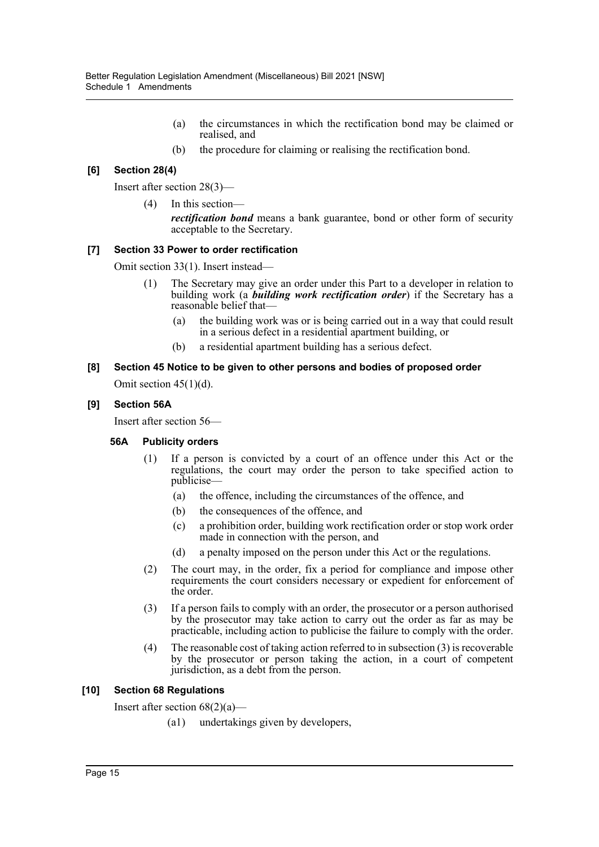- (a) the circumstances in which the rectification bond may be claimed or realised, and
- (b) the procedure for claiming or realising the rectification bond.

# **[6] Section 28(4)**

Insert after section 28(3)—

(4) In this section—

*rectification bond* means a bank guarantee, bond or other form of security acceptable to the Secretary.

# **[7] Section 33 Power to order rectification**

Omit section 33(1). Insert instead—

- (1) The Secretary may give an order under this Part to a developer in relation to building work (a *building work rectification order*) if the Secretary has a reasonable belief that—
	- (a) the building work was or is being carried out in a way that could result in a serious defect in a residential apartment building, or
	- (b) a residential apartment building has a serious defect.

# **[8] Section 45 Notice to be given to other persons and bodies of proposed order** Omit section 45(1)(d).

# **[9] Section 56A**

Insert after section 56—

# **56A Publicity orders**

- (1) If a person is convicted by a court of an offence under this Act or the regulations, the court may order the person to take specified action to publicise—
	- (a) the offence, including the circumstances of the offence, and
	- (b) the consequences of the offence, and
	- (c) a prohibition order, building work rectification order or stop work order made in connection with the person, and
	- (d) a penalty imposed on the person under this Act or the regulations.
- (2) The court may, in the order, fix a period for compliance and impose other requirements the court considers necessary or expedient for enforcement of the order.
- (3) If a person fails to comply with an order, the prosecutor or a person authorised by the prosecutor may take action to carry out the order as far as may be practicable, including action to publicise the failure to comply with the order.
- (4) The reasonable cost of taking action referred to in subsection (3) is recoverable by the prosecutor or person taking the action, in a court of competent jurisdiction, as a debt from the person.

# **[10] Section 68 Regulations**

Insert after section  $68(2)(a)$ —

(a1) undertakings given by developers,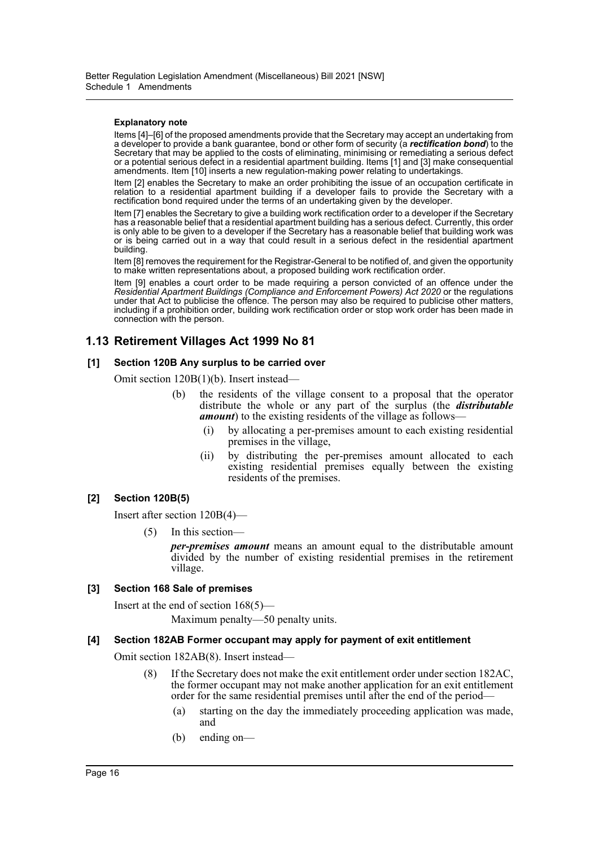#### **Explanatory note**

Items [4]–[6] of the proposed amendments provide that the Secretary may accept an undertaking from a developer to provide a bank guarantee, bond or other form of security (a *rectification bond*) to the Secretary that may be applied to the costs of eliminating, minimising or remediating a serious defect or a potential serious defect in a residential apartment building. Items [1] and [3] make consequential amendments. Item [10] inserts a new regulation-making power relating to undertakings.

Item [2] enables the Secretary to make an order prohibiting the issue of an occupation certificate in relation to a residential apartment building if a developer fails to provide the Secretary with a rectification bond required under the terms of an undertaking given by the developer.

Item [7] enables the Secretary to give a building work rectification order to a developer if the Secretary has a reasonable belief that a residential apartment building has a serious defect. Currently, this order is only able to be given to a developer if the Secretary has a reasonable belief that building work was or is being carried out in a way that could result in a serious defect in the residential apartment building.

Item [8] removes the requirement for the Registrar-General to be notified of, and given the opportunity to make written representations about, a proposed building work rectification order.

Item [9] enables a court order to be made requiring a person convicted of an offence under the *Residential Apartment Buildings (Compliance and Enforcement Powers) Act 2020* or the regulations under that Act to publicise the offence. The person may also be required to publicise other matters, including if a prohibition order, building work rectification order or stop work order has been made in connection with the person.

# **1.13 Retirement Villages Act 1999 No 81**

#### **[1] Section 120B Any surplus to be carried over**

Omit section 120B(1)(b). Insert instead—

- (b) the residents of the village consent to a proposal that the operator distribute the whole or any part of the surplus (the *distributable amount*) to the existing residents of the village as follows-
	- (i) by allocating a per-premises amount to each existing residential premises in the village,
	- (ii) by distributing the per-premises amount allocated to each existing residential premises equally between the existing residents of the premises.

# **[2] Section 120B(5)**

Insert after section 120B(4)—

(5) In this section—

*per-premises amount* means an amount equal to the distributable amount divided by the number of existing residential premises in the retirement village.

# **[3] Section 168 Sale of premises**

Insert at the end of section 168(5)—

Maximum penalty—50 penalty units.

# **[4] Section 182AB Former occupant may apply for payment of exit entitlement**

Omit section 182AB(8). Insert instead—

- (8) If the Secretary does not make the exit entitlement order under section 182AC, the former occupant may not make another application for an exit entitlement order for the same residential premises until after the end of the period—
	- (a) starting on the day the immediately proceeding application was made, and
	- (b) ending on—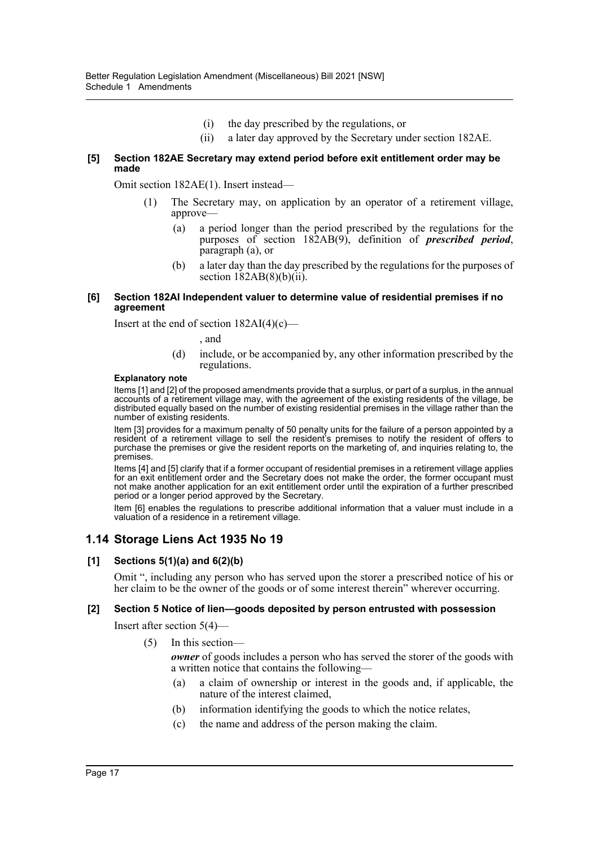- (i) the day prescribed by the regulations, or
- (ii) a later day approved by the Secretary under section 182AE.

# **[5] Section 182AE Secretary may extend period before exit entitlement order may be made**

Omit section 182AE(1). Insert instead—

- (1) The Secretary may, on application by an operator of a retirement village, approve—
	- (a) a period longer than the period prescribed by the regulations for the purposes of section 182AB(9), definition of *prescribed period*, paragraph (a), or
	- (b) a later day than the day prescribed by the regulations for the purposes of section  $182AB(8)(b)(ii)$ .

#### **[6] Section 182AI Independent valuer to determine value of residential premises if no agreement**

Insert at the end of section 182AI(4)(c)—

#### , and

(d) include, or be accompanied by, any other information prescribed by the regulations.

## **Explanatory note**

Items [1] and [2] of the proposed amendments provide that a surplus, or part of a surplus, in the annual accounts of a retirement village may, with the agreement of the existing residents of the village, be distributed equally based on the number of existing residential premises in the village rather than the number of existing residents.

Item [3] provides for a maximum penalty of 50 penalty units for the failure of a person appointed by a resident of a retirement village to sell the resident's premises to notify the resident of offers to purchase the premises or give the resident reports on the marketing of, and inquiries relating to, the premises.

Items [4] and [5] clarify that if a former occupant of residential premises in a retirement village applies for an exit entitlement order and the Secretary does not make the order, the former occupant must not make another application for an exit entitlement order until the expiration of a further prescribed period or a longer period approved by the Secretary.

Item [6] enables the regulations to prescribe additional information that a valuer must include in a valuation of a residence in a retirement village.

# **1.14 Storage Liens Act 1935 No 19**

# **[1] Sections 5(1)(a) and 6(2)(b)**

Omit ", including any person who has served upon the storer a prescribed notice of his or her claim to be the owner of the goods or of some interest therein" wherever occurring.

# **[2] Section 5 Notice of lien—goods deposited by person entrusted with possession**

Insert after section 5(4)—

(5) In this section—

*owner* of goods includes a person who has served the storer of the goods with a written notice that contains the following—

- (a) a claim of ownership or interest in the goods and, if applicable, the nature of the interest claimed,
- (b) information identifying the goods to which the notice relates,
- (c) the name and address of the person making the claim.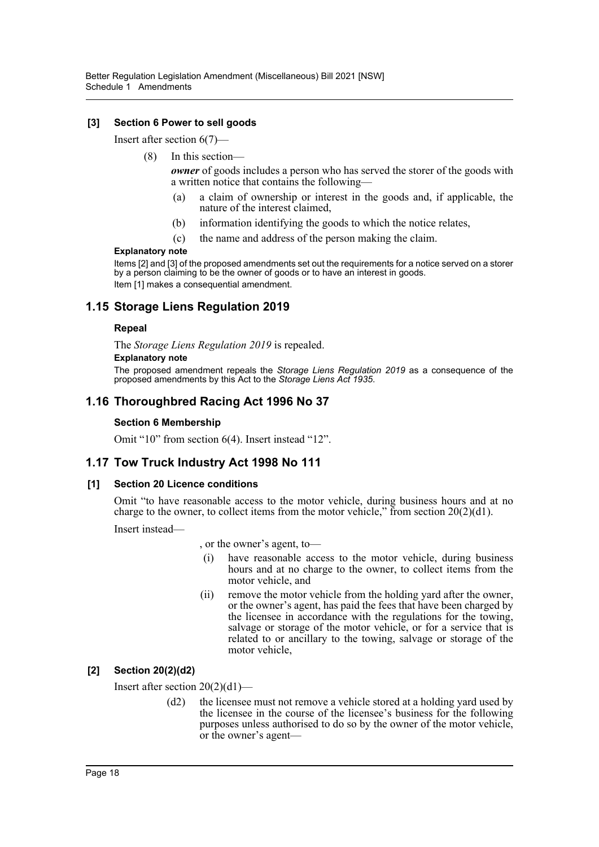# **[3] Section 6 Power to sell goods**

Insert after section 6(7)—

(8) In this section—

*owner* of goods includes a person who has served the storer of the goods with a written notice that contains the following—

- a claim of ownership or interest in the goods and, if applicable, the nature of the interest claimed,
- (b) information identifying the goods to which the notice relates,
- (c) the name and address of the person making the claim.

#### **Explanatory note**

Items [2] and [3] of the proposed amendments set out the requirements for a notice served on a storer by a person claiming to be the owner of goods or to have an interest in goods. Item [1] makes a consequential amendment.

# **1.15 Storage Liens Regulation 2019**

#### **Repeal**

The *Storage Liens Regulation 2019* is repealed.

#### **Explanatory note**

The proposed amendment repeals the *Storage Liens Regulation 2019* as a consequence of the proposed amendments by this Act to the *Storage Liens Act 1935*.

# **1.16 Thoroughbred Racing Act 1996 No 37**

# **Section 6 Membership**

Omit "10" from section 6(4). Insert instead "12".

# **1.17 Tow Truck Industry Act 1998 No 111**

# **[1] Section 20 Licence conditions**

Omit "to have reasonable access to the motor vehicle, during business hours and at no charge to the owner, to collect items from the motor vehicle," from section  $20(2)(d1)$ .

Insert instead—

, or the owner's agent, to—

- (i) have reasonable access to the motor vehicle, during business hours and at no charge to the owner, to collect items from the motor vehicle, and
- (ii) remove the motor vehicle from the holding yard after the owner, or the owner's agent, has paid the fees that have been charged by the licensee in accordance with the regulations for the towing, salvage or storage of the motor vehicle, or for a service that is related to or ancillary to the towing, salvage or storage of the motor vehicle,

# **[2] Section 20(2)(d2)**

Insert after section 20(2)(d1)—

(d2) the licensee must not remove a vehicle stored at a holding yard used by the licensee in the course of the licensee's business for the following purposes unless authorised to do so by the owner of the motor vehicle, or the owner's agent—